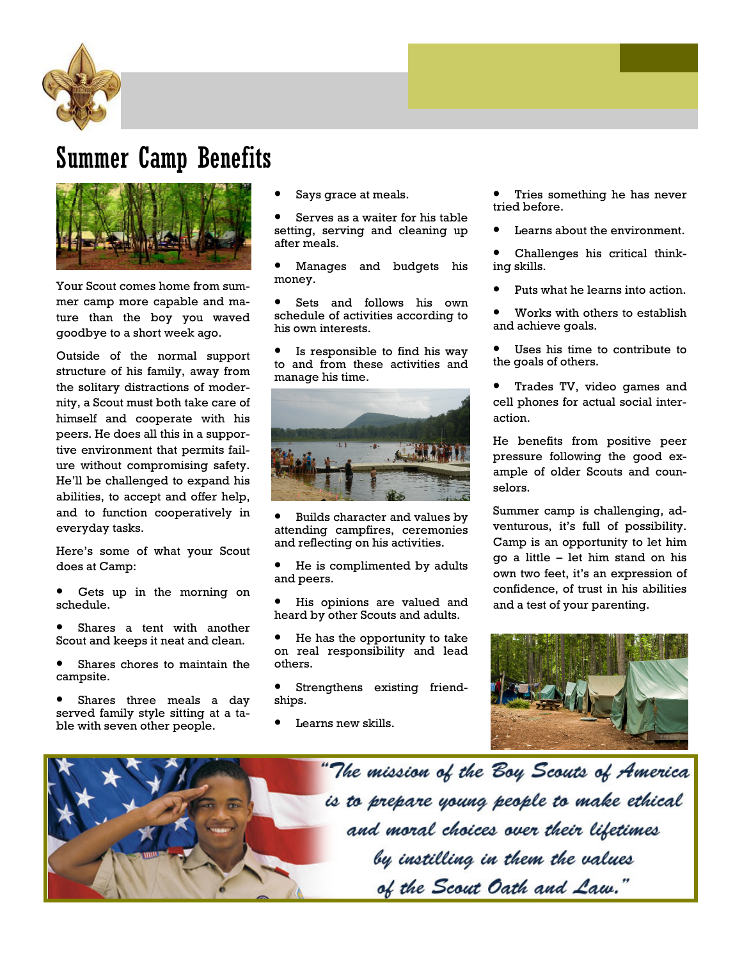

## Summer Camp Benefits



Your Scout comes home from summer camp more capable and mature than the boy you waved goodbye to a short week ago.

Outside of the normal support structure of his family, away from the solitary distractions of modernity, a Scout must both take care of himself and cooperate with his peers. He does all this in a supportive environment that permits failure without compromising safety. He'll be challenged to expand his abilities, to accept and offer help, and to function cooperatively in everyday tasks.

Here's some of what your Scout does at Camp:

Gets up in the morning on schedule.

Shares a tent with another Scout and keeps it neat and clean.

Shares chores to maintain the campsite.

Shares three meals a day served family style sitting at a table with seven other people.

Says grace at meals.

Serves as a waiter for his table setting, serving and cleaning up after meals.

• Manages and budgets his money.

• Sets and follows his own schedule of activities according to his own interests.

Is responsible to find his way to and from these activities and manage his time.



• Builds character and values by attending campfires, ceremonies and reflecting on his activities.

He is complimented by adults and peers.

His opinions are valued and heard by other Scouts and adults.

He has the opportunity to take on real responsibility and lead others.

Strengthens existing friendships.

Learns new skills.

Tries something he has never tried before.

Learns about the environment.

• Challenges his critical thinking skills.

• Puts what he learns into action.

Works with others to establish and achieve goals.

- Uses his time to contribute to the goals of others.
- Trades TV, video games and cell phones for actual social interaction.

He benefits from positive peer pressure following the good example of older Scouts and counselors.

Summer camp is challenging, adventurous, it's full of possibility. Camp is an opportunity to let him go a little – let him stand on his own two feet, it's an expression of confidence, of trust in his abilities and a test of your parenting.



"The mission of the Boy Scouts of America is to prepare young people to make ethical and moral choices over their lifetimes by instilling in them the values of the Scout Oath and Law."